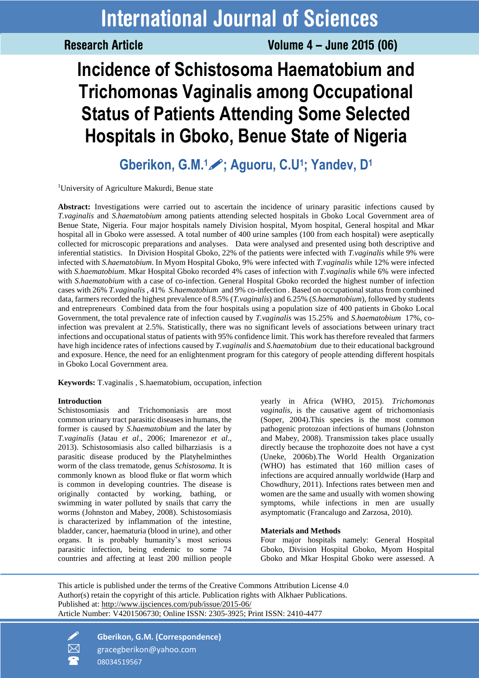**Research Article** 

Volume 4 - June 2015 (06)

# **Incidence of Schistosoma Haematobium and Trichomonas Vaginalis among Occupational Status of Patients Attending Some Selected Hospitals in Gboko, Benue State of Nigeria**

**Gberikon, G.M.1; Aguoru, C.U<sup>1</sup> ; Yandev, D<sup>1</sup>** 

<sup>1</sup>University of Agriculture Makurdi, Benue state

**Abstract:** Investigations were carried out to ascertain the incidence of urinary parasitic infections caused by *T.vaginalis* and *S.haematobium* among patients attending selected hospitals in Gboko Local Government area of Benue State, Nigeria. Four major hospitals namely Division hospital, Myom hospital, General hospital and Mkar hospital all in Gboko were assessed. A total number of 400 urine samples (100 from each hospital) were aseptically collected for microscopic preparations and analyses. Data were analysed and presented using both descriptive and inferential statistics. In Division Hospital Gboko, 22% of the patients were infected with *T.vaginalis* while 9% were infected with *S.haematobium*. In Myom Hospital Gboko, 9% were infected with *T.vaginalis* while 12% were infected with *S.haematobium*. Mkar Hospital Gboko recorded 4% cases of infection with *T.vaginalis* while 6% were infected with *S.haematobium* with a case of co-infection. General Hospital Gboko recorded the highest number of infection cases with 26% *T.vaginalis* , 41% *S.haematobium* and 9% co-infection . Based on occupational status from combined data, farmers recorded the highest prevalence of 8.5% (*T.vaginalis*) and 6.25% (*S.haematobium*), followed by students and entrepreneurs Combined data from the four hospitals using a population size of 400 patients in Gboko Local Government, the total prevalence rate of infection caused by *T.vaginalis* was 15.25% and *S.haematobium* 17%, coinfection was prevalent at 2.5%. Statistically, there was no significant levels of associations between urinary tract infections and occupational status of patients with 95% confidence limit. This work has therefore revealed that farmers have high incidence rates of infections caused by *T.vaginalis* and *S.haematobium* due to their educational background and exposure. Hence, the need for an enlightenment program for this category of people attending different hospitals in Gboko Local Government area.

**Keywords:** T.vaginalis , S.haematobium*,* occupation, infection

# **Introduction**

Schistosomiasis and Trichomoniasis are most common urinary tract parasitic diseases in humans, the former is caused by *S.haematobium* and the later by *T.vaginalis* (Jatau *et al*., 2006; Imarenezor *et al*., 2013). Schistosomiasis also called bilharziasis is a parasitic disease produced by the Platyhelminthes worm of the class trematode, genus *Schistosoma.* It is commonly known as blood fluke or flat worm which is common in developing countries. The disease is originally contacted by working, bathing, or swimming in water polluted by snails that carry the worms (Johnston and Mabey, 2008). Schistosomiasis is characterized by inflammation of the intestine, bladder, cancer, haematuria (blood in urine), and other organs. It is probably humanity's most serious parasitic infection, being endemic to some 74 countries and affecting at least 200 million people

yearly in Africa (WHO, 2015). *Trichomonas vaginalis*, is the causative agent of trichomoniasis (Soper, 2004).This species is the most common pathogenic protozoan infections of humans (Johnston and Mabey, 2008). Transmission takes place usually directly because the trophozoite does not have a cyst (Uneke, 2006b).The World Health Organization (WHO) has estimated that 160 million cases of infections are acquired annually worldwide (Harp and Chowdhury, 2011). Infections rates between men and women are the same and usually with women showing symptoms, while infections in men are usually asymptomatic (Francalugo and Zarzosa, 2010).

# **Materials and Methods**

Four major hospitals namely: General Hospital Gboko, Division Hospital Gboko, Myom Hospital Gboko and Mkar Hospital Gboko were assessed. A

This article is published under the terms of the Creative Commons Attribution License 4.0 Author(s) retain the copyright of this article. Publication rights with Alkhaer Publications. Published at:<http://www.ijsciences.com/pub/issue/2015-06/> Article Number: V4201506730; Online ISSN: 2305-3925; Print ISSN: 2410-4477

 **Gberikon, G.M. (Correspondence)**  $\boxtimes$  gracegberikon@yahoo.com 08034519567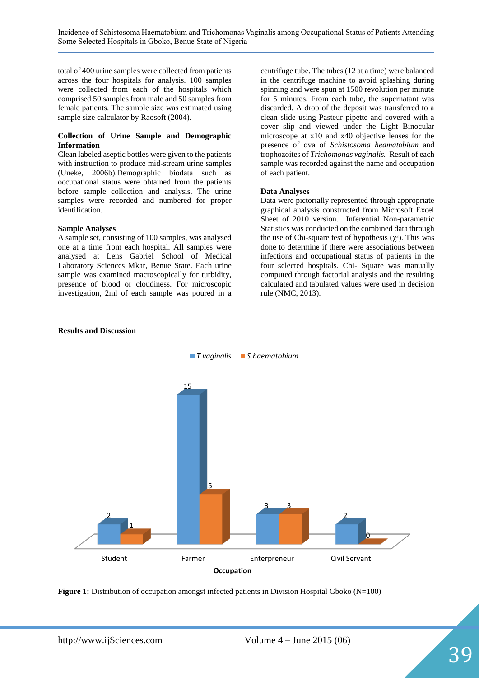total of 400 urine samples were collected from patients across the four hospitals for analysis. 100 samples were collected from each of the hospitals which comprised 50 samples from male and 50 samples from female patients. The sample size was estimated using sample size calculator by Raosoft (2004).

### **Collection of Urine Sample and Demographic Information**

Clean labeled aseptic bottles were given to the patients with instruction to produce mid-stream urine samples (Uneke, 2006b).Demographic biodata such as occupational status were obtained from the patients before sample collection and analysis. The urine samples were recorded and numbered for proper identification.

### **Sample Analyses**

A sample set, consisting of 100 samples, was analysed one at a time from each hospital. All samples were analysed at Lens Gabriel School of Medical Laboratory Sciences Mkar, Benue State. Each urine sample was examined macroscopically for turbidity, presence of blood or cloudiness. For microscopic investigation, 2ml of each sample was poured in a centrifuge tube. The tubes (12 at a time) were balanced in the centrifuge machine to avoid splashing during spinning and were spun at 1500 revolution per minute for 5 minutes. From each tube, the supernatant was discarded. A drop of the deposit was transferred to a clean slide using Pasteur pipette and covered with a cover slip and viewed under the Light Binocular microscope at x10 and x40 objective lenses for the presence of ova of *Schistosoma heamatobium* and trophozoites of *Trichomonas vaginalis.* Result of each sample was recorded against the name and occupation of each patient.

## **Data Analyses**

Data were pictorially represented through appropriate graphical analysis constructed from Microsoft Excel Sheet of 2010 version. Inferential Non-parametric Statistics was conducted on the combined data through the use of Chi-square test of hypothesis  $(\chi^2)$ . This was done to determine if there were associations between infections and occupational status of patients in the four selected hospitals. Chi- Square was manually computed through factorial analysis and the resulting calculated and tabulated values were used in decision rule (NMC, 2013).



### **Results and Discussion**

**Figure 1:** Distribution of occupation amongst infected patients in Division Hospital Gboko (N=100)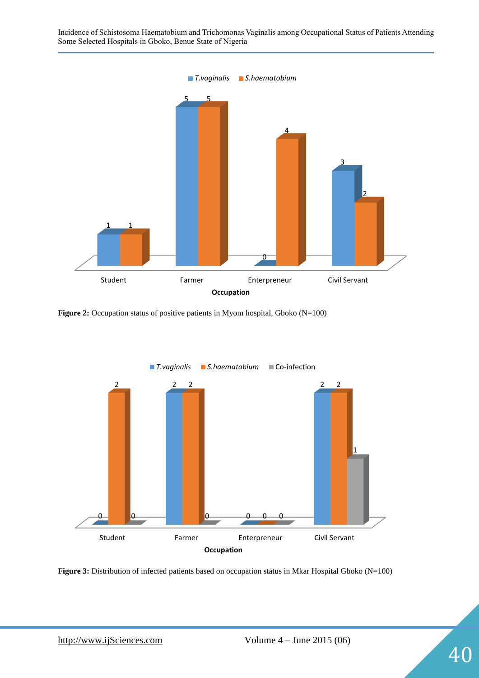Incidence of Schistosoma Haematobium and Trichomonas Vaginalis among Occupational Status of Patients Attending Some Selected Hospitals in Gboko, Benue State of Nigeria *T.vaginalis S.haematobium*



**Figure 2:** Occupation status of positive patients in Myom hospital, Gboko (N=100)



Figure 3: Distribution of infected patients based on occupation status in Mkar Hospital Gboko (N=100)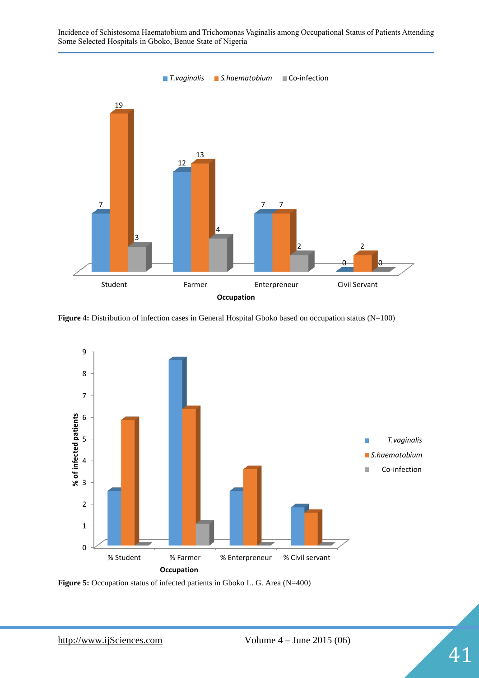Incidence of Schistosoma Haematobium and Trichomonas Vaginalis among Occupational Status of Patients Attending Some Selected Hospitals in Gboko, Benue State of Nigeria



Figure 4: Distribution of infection cases in General Hospital Gboko based on occupation status (N=100)



**Figure 5:** Occupation status of infected patients in Gboko L. G. Area (N=400)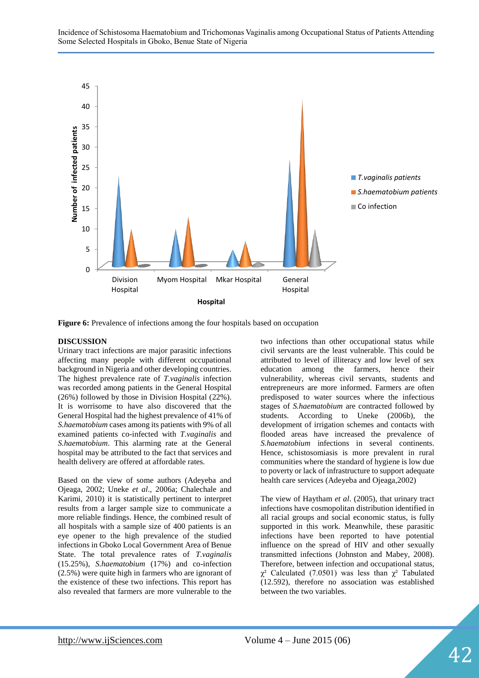

**Figure 6:** Prevalence of infections among the four hospitals based on occupation

# **DISCUSSION**

Urinary tract infections are major parasitic infections affecting many people with different occupational background in Nigeria and other developing countries. The highest prevalence rate of *T.vaginalis* infection was recorded among patients in the General Hospital (26%) followed by those in Division Hospital (22%). It is worrisome to have also discovered that the General Hospital had the highest prevalence of 41% of *S.haematobium* cases among its patients with 9% of all examined patients co-infected with *T.vaginalis* and *S.haematobium*. This alarming rate at the General hospital may be attributed to the fact that services and health delivery are offered at affordable rates.

Based on the view of some authors (Adeyeba and Ojeaga, 2002; Uneke *et al*., 2006a; Chalechale and Karimi, 2010) it is statistically pertinent to interpret results from a larger sample size to communicate a more reliable findings. Hence, the combined result of all hospitals with a sample size of 400 patients is an eye opener to the high prevalence of the studied infections in Gboko Local Government Area of Benue State. The total prevalence rates of *T.vaginalis* (15.25%), *S.haematobium* (17%) and co-infection (2.5%) were quite high in farmers who are ignorant of the existence of these two infections. This report has also revealed that farmers are more vulnerable to the

two infections than other occupational status while civil servants are the least vulnerable. This could be attributed to level of illiteracy and low level of sex education among the farmers, hence their vulnerability, whereas civil servants, students and entrepreneurs are more informed. Farmers are often predisposed to water sources where the infectious stages of *S.haematobium* are contracted followed by students. According to Uneke (2006b), the development of irrigation schemes and contacts with flooded areas have increased the prevalence of *S.haematobium* infections in several continents. Hence, schistosomiasis is more prevalent in rural communities where the standard of hygiene is low due to poverty or lack of infrastructure to support adequate health care services (Adeyeba and Ojeaga,2002)

The view of Haytham *et al*. (2005), that urinary tract infections have cosmopolitan distribution identified in all racial groups and social economic status, is fully supported in this work. Meanwhile, these parasitic infections have been reported to have potential influence on the spread of HIV and other sexually transmitted infections (Johnston and Mabey, 2008). Therefore, between infection and occupational status,  $\chi^2$  Calculated (7.0501) was less than  $\chi^2$  Tabulated (12.592), therefore no association was established between the two variables.